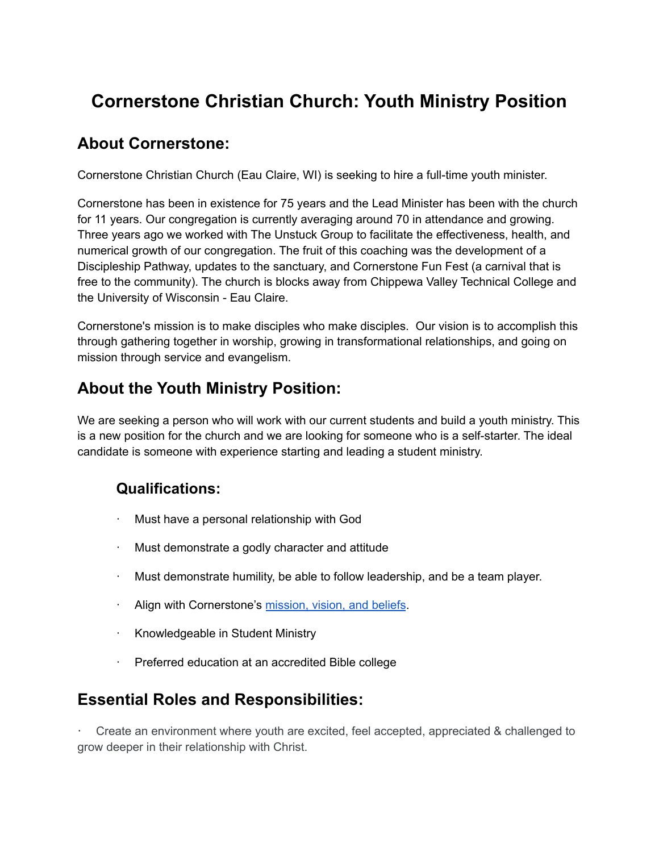# **Cornerstone Christian Church: Youth Ministry Position**

### **About Cornerstone:**

Cornerstone Christian Church (Eau Claire, WI) is seeking to hire a full-time youth minister.

Cornerstone has been in existence for 75 years and the Lead Minister has been with the church for 11 years. Our congregation is currently averaging around 70 in attendance and growing. Three years ago we worked with The Unstuck Group to facilitate the effectiveness, health, and numerical growth of our congregation. The fruit of this coaching was the development of a Discipleship Pathway, updates to the sanctuary, and Cornerstone Fun Fest (a carnival that is free to the community). The church is blocks away from Chippewa Valley Technical College and the University of Wisconsin - Eau Claire.

Cornerstone's mission is to make disciples who make disciples. Our vision is to accomplish this through gathering together in worship, growing in transformational relationships, and going on mission through service and evangelism.

## **About the Youth Ministry Position:**

We are seeking a person who will work with our current students and build a youth ministry. This is a new position for the church and we are looking for someone who is a self-starter. The ideal candidate is someone with experience starting and leading a student ministry.

### **Qualifications:**

- · Must have a personal relationship with God
- · Must demonstrate a godly character and attitude
- · Must demonstrate humility, be able to follow leadership, and be a team player.
- · Align with Cornerstone's [mission,](https://www.cornerstonechristian-ec.org/about/beliefs.html) vision, and beliefs.
- · Knowledgeable in Student Ministry
- Preferred education at an accredited Bible college

### **Essential Roles and Responsibilities:**

· Create an environment where youth are excited, feel accepted, appreciated & challenged to grow deeper in their relationship with Christ.